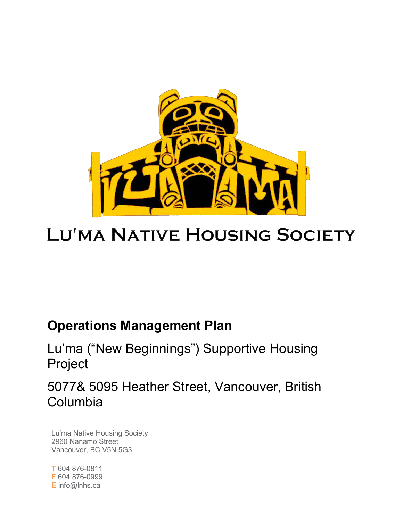

# **LU'MA NATIVE HOUSING SOCIETY**

## **Operations Management Plan**

Lu'ma ("New Beginnings") Supportive Housing Project

5077& 5095 Heather Street, Vancouver, British Columbia

Lu'ma Native Housing Society 2960 Nanamo Street Vancouver, BC V5N 5G3

**T** 604 876-0811 **F** 604 876-0999 **E** info@lnhs.ca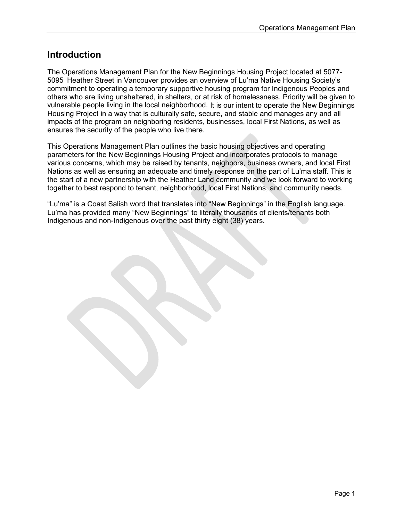## **Introduction**

The Operations Management Plan for the New Beginnings Housing Project located at 5077- 5095 Heather Street in Vancouver provides an overview of Lu'ma Native Housing Society's commitment to operating a temporary supportive housing program for Indigenous Peoples and others who are living unsheltered, in shelters, or at risk of homelessness. Priority will be given to vulnerable people living in the local neighborhood. It is our intent to operate the New Beginnings Housing Project in a way that is culturally safe, secure, and stable and manages any and all impacts of the program on neighboring residents, businesses, local First Nations, as well as ensures the security of the people who live there.

This Operations Management Plan outlines the basic housing objectives and operating parameters for the New Beginnings Housing Project and incorporates protocols to manage various concerns, which may be raised by tenants, neighbors, business owners, and local First Nations as well as ensuring an adequate and timely response on the part of Lu'ma staff. This is the start of a new partnership with the Heather Land community and we look forward to working together to best respond to tenant, neighborhood, local First Nations, and community needs.

"Lu'ma" is a Coast Salish word that translates into "New Beginnings" in the English language. Lu'ma has provided many "New Beginnings" to literally thousands of clients/tenants both Indigenous and non-Indigenous over the past thirty eight (38) years.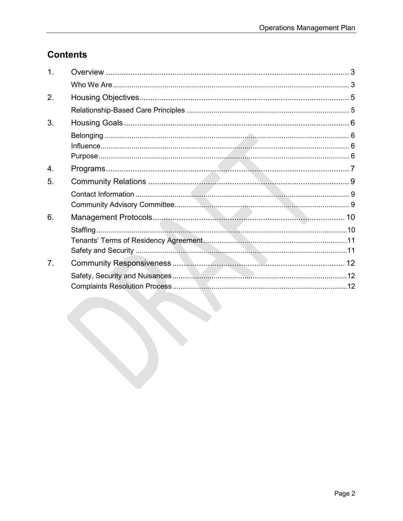## **Contents**

| 1.               |  |
|------------------|--|
|                  |  |
| 2.               |  |
|                  |  |
| 3.               |  |
|                  |  |
|                  |  |
|                  |  |
| $\overline{4}$ . |  |
| 5.               |  |
|                  |  |
|                  |  |
| 6.               |  |
|                  |  |
|                  |  |
|                  |  |
| $\overline{7}$ . |  |
|                  |  |
|                  |  |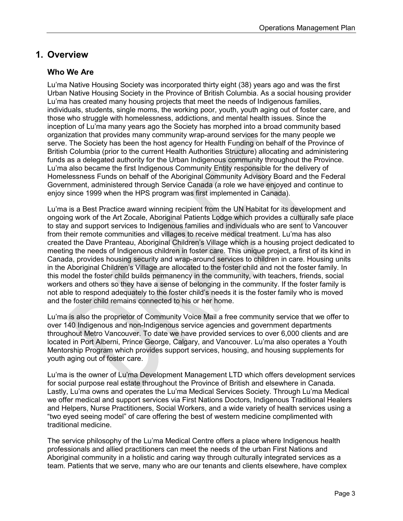## <span id="page-3-0"></span>**1. Overview**

#### <span id="page-3-1"></span>**Who We Are**

Lu'ma Native Housing Society was incorporated thirty eight (38) years ago and was the first Urban Native Housing Society in the Province of British Columbia. As a social housing provider Lu'ma has created many housing projects that meet the needs of Indigenous families, individuals, students, single moms, the working poor, youth, youth aging out of foster care, and those who struggle with homelessness, addictions, and mental health issues. Since the inception of Lu'ma many years ago the Society has morphed into a broad community based organization that provides many community wrap-around services for the many people we serve. The Society has been the host agency for Health Funding on behalf of the Province of British Columbia (prior to the current Health Authorities Structure) allocating and administering funds as a delegated authority for the Urban Indigenous community throughout the Province. Lu'ma also became the first Indigenous Community Entity responsible for the delivery of Homelessness Funds on behalf of the Aboriginal Community Advisory Board and the Federal Government, administered through Service Canada (a role we have enjoyed and continue to enjoy since 1999 when the HPS program was first implemented in Canada).

Lu'ma is a Best Practice award winning recipient from the UN Habitat for its development and ongoing work of the Art Zocale, Aboriginal Patients Lodge which provides a culturally safe place to stay and support services to Indigenous families and individuals who are sent to Vancouver from their remote communities and villages to receive medical treatment. Lu'ma has also created the Dave Pranteau, Aboriginal Children's Village which is a housing project dedicated to meeting the needs of Indigenous children in foster care. This unique project, a first of its kind in Canada, provides housing security and wrap-around services to children in care. Housing units in the Aboriginal Children's Village are allocated to the foster child and not the foster family. In this model the foster child builds permanency in the community, with teachers, friends, social workers and others so they have a sense of belonging in the community. If the foster family is not able to respond adequately to the foster child's needs it is the foster family who is moved and the foster child remains connected to his or her home.

Lu'ma is also the proprietor of Community Voice Mail a free community service that we offer to over 140 Indigenous and non-Indigenous service agencies and government departments throughout Metro Vancouver. To date we have provided services to over 6,000 clients and are located in Port Alberni, Prince George, Calgary, and Vancouver. Lu'ma also operates a Youth Mentorship Program which provides support services, housing, and housing supplements for youth aging out of foster care.

Lu'ma is the owner of Lu'ma Development Management LTD which offers development services for social purpose real estate throughout the Province of British and elsewhere in Canada. Lastly, Lu'ma owns and operates the Lu'ma Medical Services Society. Through Lu'ma Medical we offer medical and support services via First Nations Doctors, Indigenous Traditional Healers and Helpers, Nurse Practitioners, Social Workers, and a wide variety of health services using a "two eyed seeing model" of care offering the best of western medicine complimented with traditional medicine.

The service philosophy of the Lu'ma Medical Centre offers a place where Indigenous health professionals and allied practitioners can meet the needs of the urban First Nations and Aboriginal community in a holistic and caring way through culturally integrated services as a team. Patients that we serve, many who are our tenants and clients elsewhere, have complex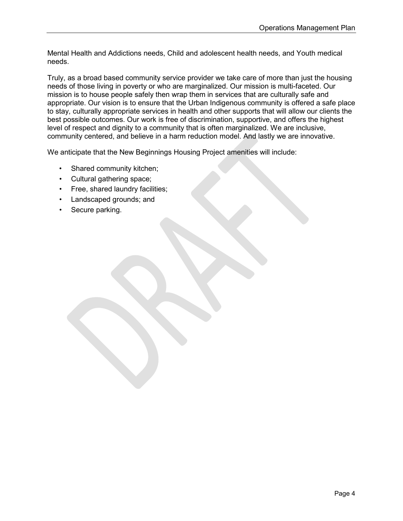Mental Health and Addictions needs, Child and adolescent health needs, and Youth medical needs.

Truly, as a broad based community service provider we take care of more than just the housing needs of those living in poverty or who are marginalized. Our mission is multi-faceted. Our mission is to house people safely then wrap them in services that are culturally safe and appropriate. Our vision is to ensure that the Urban Indigenous community is offered a safe place to stay, culturally appropriate services in health and other supports that will allow our clients the best possible outcomes. Our work is free of discrimination, supportive, and offers the highest level of respect and dignity to a community that is often marginalized. We are inclusive, community centered, and believe in a harm reduction model. And lastly we are innovative.

We anticipate that the New Beginnings Housing Project amenities will include:

- Shared community kitchen;
- Cultural gathering space;
- Free, shared laundry facilities;
- Landscaped grounds; and
- Secure parking.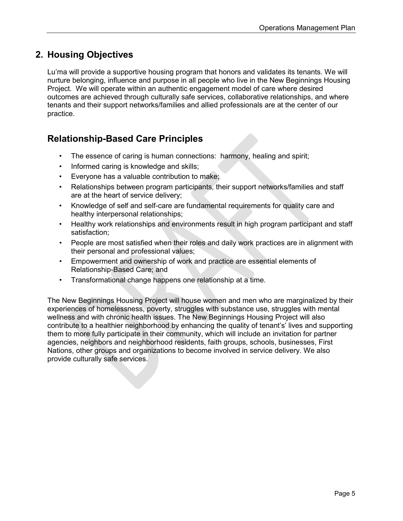## <span id="page-5-0"></span>**2. Housing Objectives**

Lu'ma will provide a supportive housing program that honors and validates its tenants. We will nurture belonging, influence and purpose in all people who live in the New Beginnings Housing Project*.* We will operate within an authentic engagement model of care where desired outcomes are achieved through culturally safe services, collaborative relationships, and where tenants and their support networks/families and allied professionals are at the center of our practice.

## <span id="page-5-1"></span>**Relationship-Based Care Principles**

- The essence of caring is human connections: harmony, healing and spirit;
- Informed caring is knowledge and skills;
- Everyone has a valuable contribution to make;
- Relationships between program participants, their support networks/families and staff are at the heart of service delivery;
- Knowledge of self and self-care are fundamental requirements for quality care and healthy interpersonal relationships;
- Healthy work relationships and environments result in high program participant and staff satisfaction;
- People are most satisfied when their roles and daily work practices are in alignment with their personal and professional values;
- Empowerment and ownership of work and practice are essential elements of Relationship-Based Care; and
- Transformational change happens one relationship at a time.

The New Beginnings Housing Project will house women and men who are marginalized by their experiences of homelessness, poverty, struggles with substance use, struggles with mental wellness and with chronic health issues. The New Beginnings Housing Project will also contribute to a healthier neighborhood by enhancing the quality of tenant's' lives and supporting them to more fully participate in their community, which will include an invitation for partner agencies, neighbors and neighborhood residents, faith groups, schools, businesses, First Nations, other groups and organizations to become involved in service delivery. We also provide culturally safe services.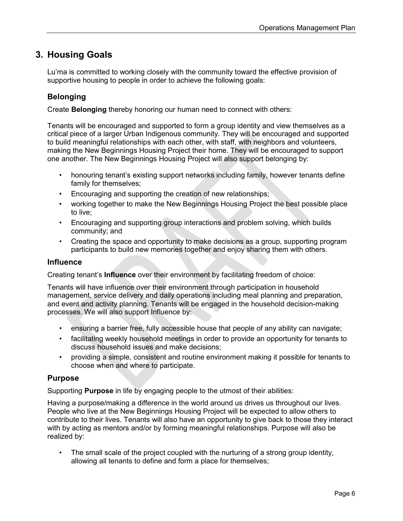## <span id="page-6-0"></span>**3. Housing Goals**

Lu'ma is committed to working closely with the community toward the effective provision of supportive housing to people in order to achieve the following goals:

## <span id="page-6-1"></span>**Belonging**

Create **Belonging** thereby honoring our human need to connect with others:

Tenants will be encouraged and supported to form a group identity and view themselves as a critical piece of a larger Urban Indigenous community. They will be encouraged and supported to build meaningful relationships with each other, with staff, with neighbors and volunteers, making the New Beginnings Housing Project their home. They will be encouraged to support one another. The New Beginnings Housing Project will also support belonging by:

- honouring tenant's existing support networks including family, however tenants define family for themselves;
- Encouraging and supporting the creation of new relationships;
- working together to make the New Beginnings Housing Project the best possible place to live;
- Encouraging and supporting group interactions and problem solving, which builds community; and
- Creating the space and opportunity to make decisions as a group, supporting program participants to build new memories together and enjoy sharing them with others.

#### <span id="page-6-2"></span>**Influence**

Creating tenant's **Influence** over their environment by facilitating freedom of choice:

Tenants will have influence over their environment through participation in household management, service delivery and daily operations including meal planning and preparation, and event and activity planning. Tenants will be engaged in the household decision-making processes. We will also support Influence by:

- ensuring a barrier free, fully accessible house that people of any ability can navigate;
- facilitating weekly household meetings in order to provide an opportunity for tenants to discuss household issues and make decisions;
- providing a simple, consistent and routine environment making it possible for tenants to choose when and where to participate.

#### <span id="page-6-3"></span>**Purpose**

Supporting **Purpose** in life by engaging people to the utmost of their abilities:

Having a purpose/making a difference in the world around us drives us throughout our lives. People who live at the New Beginnings Housing Project will be expected to allow others to contribute to their lives. Tenants will also have an opportunity to give back to those they interact with by acting as mentors and/or by forming meaningful relationships. Purpose will also be realized by:

The small scale of the project coupled with the nurturing of a strong group identity, allowing all tenants to define and form a place for themselves;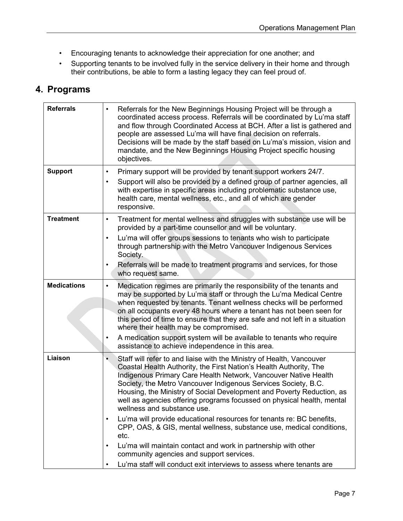- Encouraging tenants to acknowledge their appreciation for one another; and
- Supporting tenants to be involved fully in the service delivery in their home and through their contributions, be able to form a lasting legacy they can feel proud of.

## <span id="page-7-0"></span>**4. Programs**

| <b>Referrals</b>   | Referrals for the New Beginnings Housing Project will be through a<br>$\bullet$<br>coordinated access process. Referrals will be coordinated by Lu'ma staff<br>and flow through Coordinated Access at BCH. After a list is gathered and<br>people are assessed Lu'ma will have final decision on referrals.<br>Decisions will be made by the staff based on Lu'ma's mission, vision and<br>mandate, and the New Beginnings Housing Project specific housing<br>objectives.                                               |
|--------------------|--------------------------------------------------------------------------------------------------------------------------------------------------------------------------------------------------------------------------------------------------------------------------------------------------------------------------------------------------------------------------------------------------------------------------------------------------------------------------------------------------------------------------|
| <b>Support</b>     | Primary support will be provided by tenant support workers 24/7.<br>$\bullet$                                                                                                                                                                                                                                                                                                                                                                                                                                            |
|                    | Support will also be provided by a defined group of partner agencies, all<br>$\bullet$<br>with expertise in specific areas including problematic substance use,<br>health care, mental wellness, etc., and all of which are gender<br>responsive.                                                                                                                                                                                                                                                                        |
| <b>Treatment</b>   | Treatment for mental wellness and struggles with substance use will be<br>$\bullet$<br>provided by a part-time counsellor and will be voluntary.                                                                                                                                                                                                                                                                                                                                                                         |
|                    | Lu'ma will offer groups sessions to tenants who wish to participate<br>$\bullet$<br>through partnership with the Metro Vancouver Indigenous Services<br>Society.                                                                                                                                                                                                                                                                                                                                                         |
|                    | Referrals will be made to treatment programs and services, for those<br>$\bullet$<br>who request same.                                                                                                                                                                                                                                                                                                                                                                                                                   |
| <b>Medications</b> | Medication regimes are primarily the responsibility of the tenants and<br>$\bullet$<br>may be supported by Lu'ma staff or through the Lu'ma Medical Centre<br>when requested by tenants. Tenant wellness checks will be performed<br>on all occupants every 48 hours where a tenant has not been seen for<br>this period of time to ensure that they are safe and not left in a situation<br>where their health may be compromised.<br>A medication support system will be available to tenants who require<br>$\bullet$ |
|                    | assistance to achieve independence in this area.                                                                                                                                                                                                                                                                                                                                                                                                                                                                         |
| Liaison            | Staff will refer to and liaise with the Ministry of Health, Vancouver<br>$\bullet$<br>Coastal Health Authority, the First Nation's Health Authority, The<br>Indigenous Primary Care Health Network, Vancouver Native Health<br>Society, the Metro Vancouver Indigenous Services Society, B.C.<br>Housing, the Ministry of Social Development and Poverty Reduction, as<br>well as agencies offering programs focussed on physical health, mental<br>wellness and substance use.                                          |
|                    | Lu'ma will provide educational resources for tenants re: BC benefits,<br>$\bullet$<br>CPP, OAS, & GIS, mental wellness, substance use, medical conditions,<br>etc.                                                                                                                                                                                                                                                                                                                                                       |
|                    | Lu'ma will maintain contact and work in partnership with other<br>$\bullet$<br>community agencies and support services.                                                                                                                                                                                                                                                                                                                                                                                                  |
|                    | Lu'ma staff will conduct exit interviews to assess where tenants are<br>$\bullet$                                                                                                                                                                                                                                                                                                                                                                                                                                        |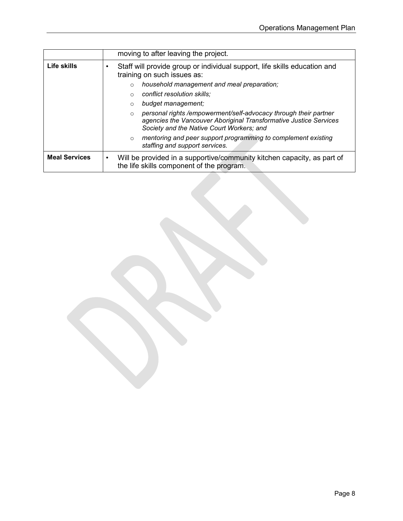|                      | moving to after leaving the project.                                                                                                                                                          |
|----------------------|-----------------------------------------------------------------------------------------------------------------------------------------------------------------------------------------------|
| Life skills          | Staff will provide group or individual support, life skills education and<br>training on such issues as:                                                                                      |
|                      | household management and meal preparation;<br>$\circ$                                                                                                                                         |
|                      | conflict resolution skills:<br>$\circ$                                                                                                                                                        |
|                      | budget management:<br>$\circ$                                                                                                                                                                 |
|                      | personal rights /empowerment/self-advocacy through their partner<br>$\circ$<br>agencies the Vancouver Aboriginal Transformative Justice Services<br>Society and the Native Court Workers; and |
|                      | mentoring and peer support programming to complement existing<br>$\circ$<br>staffing and support services.                                                                                    |
| <b>Meal Services</b> | Will be provided in a supportive/community kitchen capacity, as part of<br>the life skills component of the program.                                                                          |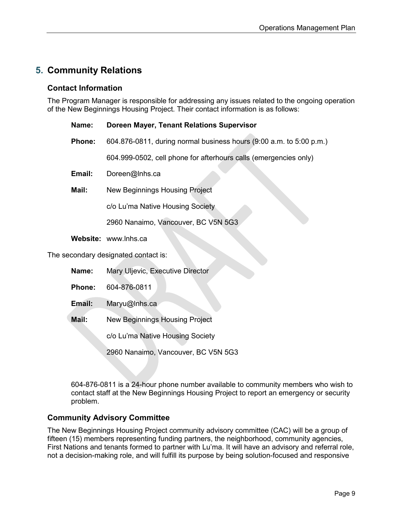## <span id="page-9-0"></span>**5. Community Relations**

#### <span id="page-9-1"></span>**Contact Information**

The Program Manager is responsible for addressing any issues related to the ongoing operation of the New Beginnings Housing Project. Their contact information is as follows:

#### **Name: Doreen Mayer, Tenant Relations Supervisor**

**Phone:** 604.876-0811, during normal business hours (9:00 a.m. to 5:00 p.m.)

604.999-0502, cell phone for afterhours calls (emergencies only)

- **Email:** Doreen@lnhs.ca
- **Mail:** New Beginnings Housing Project

c/o Lu'ma Native Housing Society

2960 Nanaimo, Vancouver, BC V5N 5G3

#### **Website:** www.lnhs.ca

The secondary designated contact is:

- **Name:** Mary Uljevic, Executive Director
- **Phone:** 604-876-0811
- **Email:** Maryu@lnhs.ca
- **Mail:** New Beginnings Housing Project

c/o Lu'ma Native Housing Society

2960 Nanaimo, Vancouver, BC V5N 5G3

604-876-0811 is a 24-hour phone number available to community members who wish to contact staff at the New Beginnings Housing Project to report an emergency or security problem.

#### <span id="page-9-2"></span>**Community Advisory Committee**

The New Beginnings Housing Project community advisory committee (CAC) will be a group of fifteen (15) members representing funding partners, the neighborhood, community agencies, First Nations and tenants formed to partner with Lu'ma. It will have an advisory and referral role, not a decision-making role, and will fulfill its purpose by being solution-focused and responsive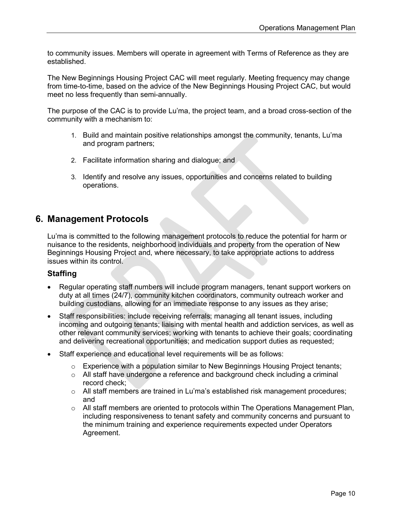to community issues. Members will operate in agreement with Terms of Reference as they are established.

The New Beginnings Housing Project CAC will meet regularly. Meeting frequency may change from time-to-time, based on the advice of the New Beginnings Housing Project CAC, but would meet no less frequently than semi-annually.

The purpose of the CAC is to provide Lu'ma, the project team, and a broad cross-section of the community with a mechanism to:

- 1. Build and maintain positive relationships amongst the community, tenants, Lu'ma and program partners;
- 2. Facilitate information sharing and dialogue; and
- 3. Identify and resolve any issues, opportunities and concerns related to building operations.

## <span id="page-10-0"></span>**6. Management Protocols**

Lu'ma is committed to the following management protocols to reduce the potential for harm or nuisance to the residents, neighborhood individuals and property from the operation of New Beginnings Housing Project and, where necessary, to take appropriate actions to address issues within its control.

#### <span id="page-10-1"></span>**Staffing**

- Regular operating staff numbers will include program managers, tenant support workers on duty at all times (24/7), community kitchen coordinators, community outreach worker and building custodians, allowing for an immediate response to any issues as they arise;
- Staff responsibilities: include receiving referrals; managing all tenant issues, including incoming and outgoing tenants; liaising with mental health and addiction services, as well as other relevant community services; working with tenants to achieve their goals; coordinating and delivering recreational opportunities; and medication support duties as requested;
- Staff experience and educational level requirements will be as follows:
	- $\circ$  Experience with a population similar to New Beginnings Housing Project tenants;
	- $\circ$  All staff have undergone a reference and background check including a criminal record check;
	- $\circ$  All staff members are trained in Lu'ma's established risk management procedures; and
	- $\circ$  All staff members are oriented to protocols within The Operations Management Plan, including responsiveness to tenant safety and community concerns and pursuant to the minimum training and experience requirements expected under Operators Agreement.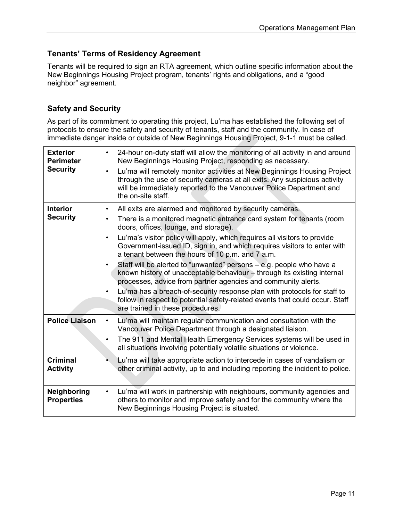## <span id="page-11-0"></span>**Tenants' Terms of Residency Agreement**

Tenants will be required to sign an RTA agreement, which outline specific information about the New Beginnings Housing Project program, tenants' rights and obligations, and a "good neighbor" agreement.

## <span id="page-11-1"></span>**Safety and Security**

As part of its commitment to operating this project, Lu'ma has established the following set of protocols to ensure the safety and security of tenants, staff and the community. In case of immediate danger inside or outside of New Beginnings Housing Project, 9-1-1 must be called.

| <b>Exterior</b><br><b>Perimeter</b><br><b>Security</b> | 24-hour on-duty staff will allow the monitoring of all activity in and around<br>New Beginnings Housing Project, responding as necessary.<br>Lu'ma will remotely monitor activities at New Beginnings Housing Project<br>through the use of security cameras at all exits. Any suspicious activity<br>will be immediately reported to the Vancouver Police Department and<br>the on-site staff.                                                                                                                                                                                                                                                                                                                                                                                                                                                     |
|--------------------------------------------------------|-----------------------------------------------------------------------------------------------------------------------------------------------------------------------------------------------------------------------------------------------------------------------------------------------------------------------------------------------------------------------------------------------------------------------------------------------------------------------------------------------------------------------------------------------------------------------------------------------------------------------------------------------------------------------------------------------------------------------------------------------------------------------------------------------------------------------------------------------------|
| <b>Interior</b><br><b>Security</b>                     | All exits are alarmed and monitored by security cameras.<br>$\bullet$<br>There is a monitored magnetic entrance card system for tenants (room<br>٠<br>doors, offices, lounge, and storage).<br>Lu'ma's visitor policy will apply, which requires all visitors to provide<br>٠<br>Government-issued ID, sign in, and which requires visitors to enter with<br>a tenant between the hours of 10 p.m. and 7 a.m.<br>Staff will be alerted to "unwanted" persons – e.g. people who have a<br>$\bullet$<br>known history of unacceptable behaviour - through its existing internal<br>processes, advice from partner agencies and community alerts.<br>Lu'ma has a breach-of-security response plan with protocols for staff to<br>٠<br>follow in respect to potential safety-related events that could occur. Staff<br>are trained in these procedures. |
| <b>Police Liaison</b>                                  | Lu'ma will maintain regular communication and consultation with the<br>$\bullet$<br>Vancouver Police Department through a designated liaison.<br>The 911 and Mental Health Emergency Services systems will be used in<br>all situations involving potentially volatile situations or violence.                                                                                                                                                                                                                                                                                                                                                                                                                                                                                                                                                      |
| <b>Criminal</b><br><b>Activity</b>                     | Lu'ma will take appropriate action to intercede in cases of vandalism or<br>other criminal activity, up to and including reporting the incident to police.                                                                                                                                                                                                                                                                                                                                                                                                                                                                                                                                                                                                                                                                                          |
| Neighboring<br><b>Properties</b>                       | Lu'ma will work in partnership with neighbours, community agencies and<br>$\bullet$<br>others to monitor and improve safety and for the community where the<br>New Beginnings Housing Project is situated.                                                                                                                                                                                                                                                                                                                                                                                                                                                                                                                                                                                                                                          |